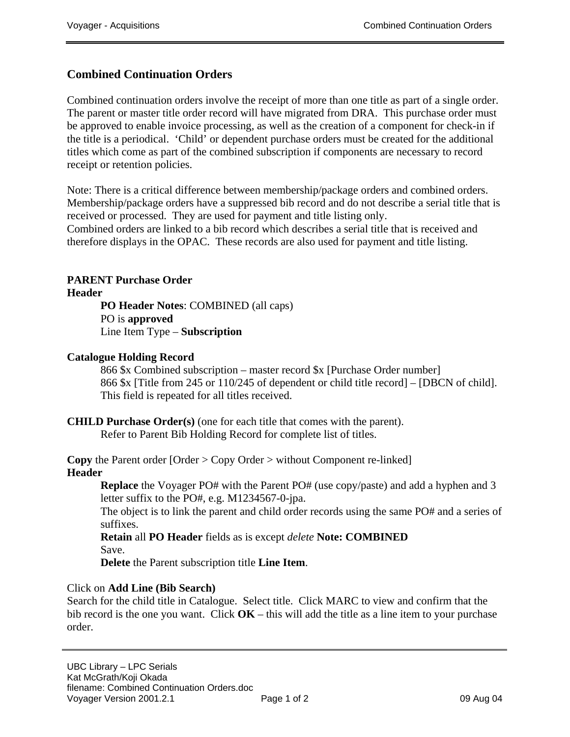# **Combined Continuation Orders**

Combined continuation orders involve the receipt of more than one title as part of a single order. The parent or master title order record will have migrated from DRA. This purchase order must be approved to enable invoice processing, as well as the creation of a component for check-in if the title is a periodical. 'Child' or dependent purchase orders must be created for the additional titles which come as part of the combined subscription if components are necessary to record receipt or retention policies.

Note: There is a critical difference between membership/package orders and combined orders. Membership/package orders have a suppressed bib record and do not describe a serial title that is received or processed. They are used for payment and title listing only. Combined orders are linked to a bib record which describes a serial title that is received and

therefore displays in the OPAC. These records are also used for payment and title listing.

## **PARENT Purchase Order**

**Header** 

**PO Header Notes**: COMBINED (all caps) PO is **approved** Line Item Type – **Subscription**

#### **Catalogue Holding Record**

866 \$x Combined subscription – master record \$x [Purchase Order number] 866 \$x [Title from 245 or 110/245 of dependent or child title record] – [DBCN of child]. This field is repeated for all titles received.

## **CHILD Purchase Order(s)** (one for each title that comes with the parent).

Refer to Parent Bib Holding Record for complete list of titles.

**Copy** the Parent order [Order > Copy Order > without Component re-linked] **Header** 

**Replace** the Voyager PO# with the Parent PO# (use copy/paste) and add a hyphen and 3 letter suffix to the PO#, e.g. M1234567-0-jpa.

The object is to link the parent and child order records using the same PO# and a series of suffixes.

**Retain** all **PO Header** fields as is except *delete* **Note: COMBINED** Save.

**Delete** the Parent subscription title **Line Item**.

## Click on **Add Line (Bib Search)**

Search for the child title in Catalogue. Select title. Click MARC to view and confirm that the bib record is the one you want. Click **OK** – this will add the title as a line item to your purchase order.